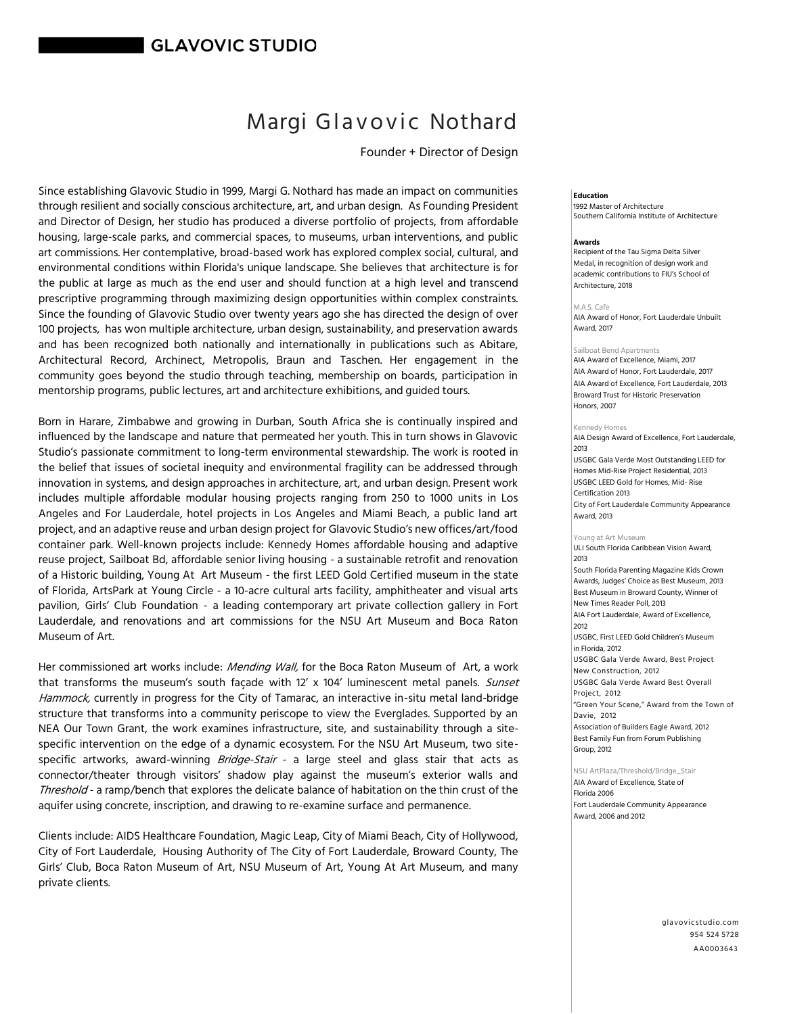## Margi Glavovic Nothard

## Founder + Director of Design

Since establishing Glavovic Studio in 1999, Margi G. Nothard has made an impact on communities through resilient and socially conscious architecture, art, and urban design. As Founding President and Director of Design, her studio has produced a diverse portfolio of projects, from affordable housing, large-scale parks, and commercial spaces, to museums, urban interventions, and public art commissions. Her contemplative, broad-based work has explored complex social, cultural, and environmental conditions within Florida's unique landscape. She believes that architecture is for the public at large as much as the end user and should function at a high level and transcend prescriptive programming through maximizing design opportunities within complex constraints. Since the founding of Glavovic Studio over twenty years ago she has directed the design of over 100 projects, has won multiple architecture, urban design, sustainability, and preservation awards and has been recognized both nationally and internationally in publications such as Abitare, Architectural Record, Archinect, Metropolis, Braun and Taschen. Her engagement in the community goes beyond the studio through teaching, membership on boards, participation in mentorship programs, public lectures, art and architecture exhibitions, and guided tours.

Born in Harare, Zimbabwe and growing in Durban, South Africa she is continually inspired and influenced by the landscape and nature that permeated her youth. This in turn shows in Glavovic Studio's passionate commitment to long-term environmental stewardship. The work is rooted in the belief that issues of societal inequity and environmental fragility can be addressed through innovation in systems, and design approaches in architecture, art, and urban design. Present work includes multiple affordable modular housing projects ranging from 250 to 1000 units in Los Angeles and For Lauderdale, hotel projects in Los Angeles and Miami Beach, a public land art project, and an adaptive reuse and urban design project for Glavovic Studio's new offices/art/food container park. Well-known projects include: Kennedy Homes affordable housing and adaptive reuse project, Sailboat Bd, affordable senior living housing - a sustainable retrofit and renovation of a Historic building, Young At Art Museum - the first LEED Gold Certified museum in the state of Florida, ArtsPark at Young Circle - a 10-acre cultural arts facility, amphitheater and visual arts pavilion, Girls' Club Foundation - a leading contemporary art private collection gallery in Fort Lauderdale, and renovations and art commissions for the NSU Art Museum and Boca Raton Museum of Art.

Her commissioned art works include: Mending Wall, for the Boca Raton Museum of Art, a work that transforms the museum's south façade with 12' x 104' luminescent metal panels. Sunset Hammock, currently in progress for the City of Tamarac, an interactive in-situ metal land-bridge structure that transforms into a community periscope to view the Everglades. Supported by an NEA Our Town Grant, the work examines infrastructure, site, and sustainability through a sitespecific intervention on the edge of a dynamic ecosystem. For the NSU Art Museum, two sitespecific artworks, award-winning Bridge-Stair - a large steel and glass stair that acts as connector/theater through visitors' shadow play against the museum's exterior walls and Threshold - a ramp/bench that explores the delicate balance of habitation on the thin crust of the aquifer using concrete, inscription, and drawing to re-examine surface and permanence.

Clients include: AIDS Healthcare Foundation, Magic Leap, City of Miami Beach, City of Hollywood, City of Fort Lauderdale, Housing Authority of The City of Fort Lauderdale, Broward County, The Girls' Club, Boca Raton Museum of Art, NSU Museum of Art, Young At Art Museum, and many private clients.

#### **Education**

1992 Master of Architecture Southern California Institute of Architecture

#### **Awards**

Recipient of the Tau Sigma Delta Silver Medal, in recognition of design work and academic contributions to FIU's School of Architecture, 2018

#### M.A.S. Cafe

AIA Award of Honor, Fort Lauderdale Unbuilt Award, 2017

## Sailboat Bend Apartments

AIA Award of Excellence, Miami, 2017 AIA Award of Honor, Fort Lauderdale, 2017 AIA Award of Excellence, Fort Lauderdale, 2013 Broward Trust for Historic Preservation Honors, 2007

#### Kennedy Homes

AIA Design Award of Excellence, Fort Lauderdale, 2013 USGBC Gala Verde Most Outstanding LEED for

Homes Mid-Rise Project Residential, 2013 USGBC LEED Gold for Homes, Mid- Rise Certification 2013 City of Fort Lauderdale Community Appearance Award, 2013

### Young at Art Museum

ULI South Florida Caribbean Vision Award, 2013 South Florida Parenting Magazine Kids Crown Awards, Judges' Choice as Best Museum, 2013 Best Museum in Broward County, Winner of New Times Reader Poll, 2013 AIA Fort Lauderdale, Award of Excellence, 2012 USGBC, First LEED Gold Children's Museum in Florida, 2012 USGBC Gala Verde Award, Best Project New Construction, 2012 USGBC Gala Verde Award Best Overall Project, 2012 "Green Your Scene," Award from the Town of Davie, 2012 Association of Builders Eagle Award, 2012 Best Family Fun from Forum Publishing Group, 2012

NSU ArtPlaza/Threshold/Bridge\_Stair AIA Award of Excellence, State of Florida 2006 Fort Lauderdale Community Appearance Award, 2006 and 2012

> glavovicstudio.com 954 524 5728 AA0003643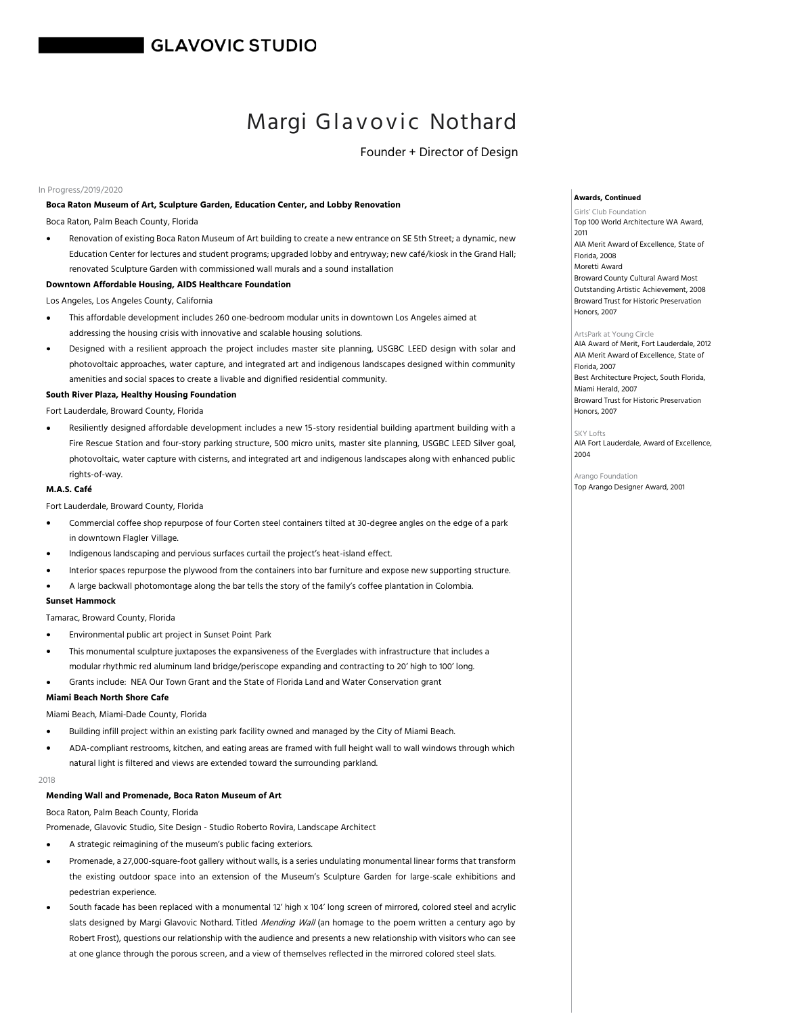

## Founder + Director of Design

### In Progress/2019/2020

## **Boca Raton Museum of Art, Sculpture Garden, Education Center, and Lobby Renovation**

Boca Raton, Palm Beach County, Florida

Renovation of existing Boca Raton Museum of Art building to create a new entrance on SE 5th Street; a dynamic, new Education Center for lectures and student programs; upgraded lobby and entryway; new café/kiosk in the Grand Hall; renovated Sculpture Garden with commissioned wall murals and a sound installation

## **Downtown Affordable Housing, AIDS Healthcare Foundation**

Los Angeles, Los Angeles County, California

- This affordable development includes 260 one-bedroom modular units in downtown Los Angeles aimed at addressing the housing crisis with innovative and scalable housing solutions.
- Designed with a resilient approach the project includes master site planning, USGBC LEED design with solar and photovoltaic approaches, water capture, and integrated art and indigenous landscapes designed within community amenities and social spaces to create a livable and dignified residential community.

## **South River Plaza, Healthy Housing Foundation**

Fort Lauderdale, Broward County, Florida

Resiliently designed affordable development includes a new 15-story residential building apartment building with a Fire Rescue Station and four-story parking structure, 500 micro units, master site planning, USGBC LEED Silver goal, photovoltaic, water capture with cisterns, and integrated art and indigenous landscapes along with enhanced public rights-of-way.

## **M.A.S. Café**

Fort Lauderdale, Broward County, Florida

- Commercial coffee shop repurpose of four Corten steel containers tilted at 30-degree angles on the edge of a park in downtown Flagler Village.
- Indigenous landscaping and pervious surfaces curtail the project's heat-island effect.
- Interior spaces repurpose the plywood from the containers into bar furniture and expose new supporting structure.
- A large backwall photomontage along the bar tells the story of the family's coffee plantation in Colombia.

## **Sunset Hammock**

Tamarac, Broward County, Florida

- Environmental public art project in Sunset Point Park
- This monumental sculpture juxtaposes the expansiveness of the Everglades with infrastructure that includes a modular rhythmic red aluminum land bridge/periscope expanding and contracting to 20' high to 100' long.
- Grants include: NEA Our Town Grant and the State of Florida Land and Water Conservation grant

## **Miami Beach North Shore Cafe**

Miami Beach, Miami-Dade County, Florida

- Building infill project within an existing park facility owned and managed by the City of Miami Beach.
- ADA-compliant restrooms, kitchen, and eating areas are framed with full height wall to wall windows through which natural light is filtered and views are extended toward the surrounding parkland.

#### 2018

### **Mending Wall and Promenade, Boca Raton Museum of Art**

Boca Raton, Palm Beach County, Florida

Promenade, Glavovic Studio, Site Design - Studio Roberto Rovira, Landscape Architect

- A strategic reimagining of the museum's public facing exteriors.
- Promenade, a 27,000-square-foot gallery without walls, is a series undulating monumental linear forms that transform the existing outdoor space into an extension of the Museum's Sculpture Garden for large-scale exhibitions and pedestrian experience.
- South facade has been replaced with a monumental 12' high x 104' long screen of mirrored, colored steel and acrylic slats designed by Margi Glavovic Nothard. Titled Mending Wall (an homage to the poem written a century ago by Robert Frost), questions our relationship with the audience and presents a new relationship with visitors who can see at one glance through the porous screen, and a view of themselves reflected in the mirrored colored steel slats.

#### **Awards, Continued**

Girls' Club Foundation Top 100 World Architecture WA Award, 2011 AIA Merit Award of Excellence, State of Florida, 2008 Moretti Award Broward County Cultural Award Most Outstanding Artistic Achievement, 2008 Broward Trust for Historic Preservation Honors, 2007

#### ArtsPark at Young Circle

AIA Award of Merit, Fort Lauderdale, 2012 AIA Merit Award of Excellence, State of Florida, 2007 Best Architecture Project, South Florida, Miami Herald, 2007 Broward Trust for Historic Preservation Honors, 2007

SKY Lofts AIA Fort Lauderdale, Award of Excellence,

2004

Arango Foundation Top Arango Designer Award, 2001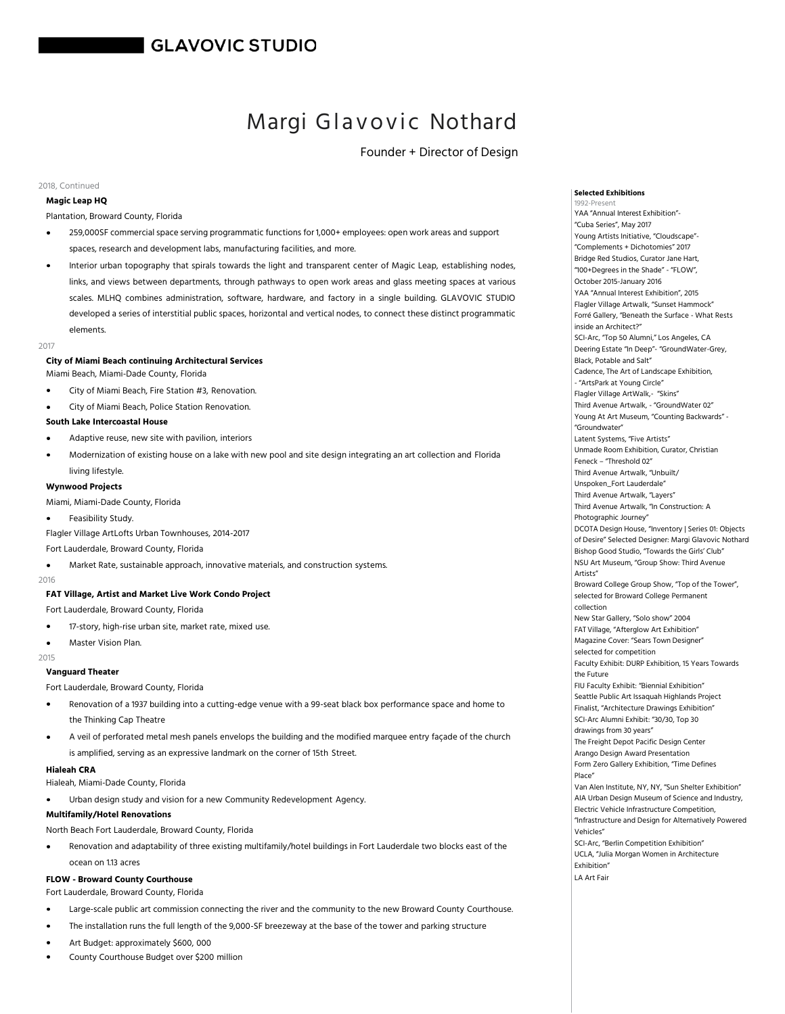

## Founder + Director of Design

## 2018, Continued

## **Magic Leap HQ**

Plantation, Broward County, Florida

- 259,000SF commercial space serving programmatic functions for 1,000+ employees: open work areas and support spaces, research and development labs, manufacturing facilities, and more.
- Interior urban topography that spirals towards the light and transparent center of Magic Leap, establishing nodes, links, and views between departments, through pathways to open work areas and glass meeting spaces at various scales. MLHQ combines administration, software, hardware, and factory in a single building. GLAVOVIC STUDIO developed a series of interstitial public spaces, horizontal and vertical nodes, to connect these distinct programmatic elements.

### 2017

## **City of Miami Beach continuing Architectural Services**

Miami Beach, Miami-Dade County, Florida

- City of Miami Beach, Fire Station #3, Renovation.
- City of Miami Beach, Police Station Renovation.

## **South Lake Intercoastal House**

- Adaptive reuse, new site with pavilion, interiors
- Modernization of existing house on a lake with new pool and site design integrating an art collection and Florida living lifestyle.

### **Wynwood Projects**

Miami, Miami-Dade County, Florida

Feasibility Study.

Flagler Village ArtLofts Urban Townhouses, 2014-2017

Fort Lauderdale, Broward County, Florida

Market Rate, sustainable approach, innovative materials, and construction systems.

#### 2016

## **FAT Village, Artist and Market Live Work Condo Project**

Fort Lauderdale, Broward County, Florida

- 17-story, high-rise urban site, market rate, mixed use.
- Master Vision Plan.

2015

## **Vanguard Theater**

Fort Lauderdale, Broward County, Florida

- Renovation of a 1937 building into a cutting-edge venue with a 99-seat black box performance space and home to the Thinking Cap Theatre
- A veil of perforated metal mesh panels envelops the building and the modified marquee entry façade of the church is amplified, serving as an expressive landmark on the corner of 15th Street.

## **Hialeah CRA**

Hialeah, Miami-Dade County, Florida

Urban design study and vision for a new Community Redevelopment Agency.

## **Multifamily/Hotel Renovations**

North Beach Fort Lauderdale, Broward County, Florida

Renovation and adaptability of three existing multifamily/hotel buildings in Fort Lauderdale two blocks east of the ocean on 1.13 acres

## **FLOW - Broward County Courthouse**

Fort Lauderdale, Broward County, Florida

- Large-scale public art commission connecting the river and the community to the new Broward County Courthouse.
- The installation runs the full length of the 9,000-SF breezeway at the base of the tower and parking structure
- Art Budget: approximately \$600, 000
- County Courthouse Budget over \$200 million

## **Selected Exhibitions**

1992-Present YAA "Annual Interest Exhibition"- "Cuba Series", May 2017 Young Artists Initiative, "Cloudscape"- "Complements + Dichotomies" 2017 Bridge Red Studios, Curator Jane Hart, "100+Degrees in the Shade" - "FLOW", October 2015-January 2016 YAA "Annual Interest Exhibition", 2015 Flagler Village Artwalk, "Sunset Hammock" Forré Gallery, "Beneath the Surface - What Rests inside an Architect?" SCI-Arc, "Top 50 Alumni," Los Angeles, CA Deering Estate "In Deep"- "GroundWater-Grey, Black, Potable and Salt" Cadence, The Art of Landscape Exhibition, - "ArtsPark at Young Circle" Flagler Village ArtWalk,- "Skins" Third Avenue Artwalk, - "GroundWater 02" Young At Art Museum, "Counting Backwards" - "Groundwater" Latent Systems, "Five Artists" Unmade Room Exhibition, Curator, Christian Feneck – "Threshold 02" Third Avenue Artwalk, "Unbuilt/ Unspoken\_Fort Lauderdale" Third Avenue Artwalk, "Layers" Third Avenue Artwalk, "In Construction: A Photographic Journey" DCOTA Design House, "Inventory | Series 01: Objects of Desire" Selected Designer: Margi Glavovic Nothard Bishop Good Studio, "Towards the Girls' Club" NSU Art Museum, "Group Show: Third Avenue Artists" Broward College Group Show, "Top of the Tower", selected for Broward College Permanent collection New Star Gallery, "Solo show" 2004 FAT Village, "Afterglow Art Exhibition" Magazine Cover: "Sears Town Designer" selected for competition Faculty Exhibit: DURP Exhibition, 15 Years Towards the Future FIU Faculty Exhibit: "Biennial Exhibition" Seattle Public Art Issaquah Highlands Project Finalist, "Architecture Drawings Exhibition" SCI-Arc Alumni Exhibit: "30/30, Top 30 drawings from 30 years" The Freight Depot Pacific Design Center Arango Design Award Presentation Form Zero Gallery Exhibition, "Time Defines Place" Van Alen Institute, NY, NY, "Sun Shelter Exhibition" AIA Urban Design Museum of Science and Industry, Electric Vehicle Infrastructure Competition, "Infrastructure and Design for Alternatively Powered Vehicles" SCI-Arc, "Berlin Competition Exhibition" UCLA, "Julia Morgan Women in Architecture Exhibition" LA Art Fair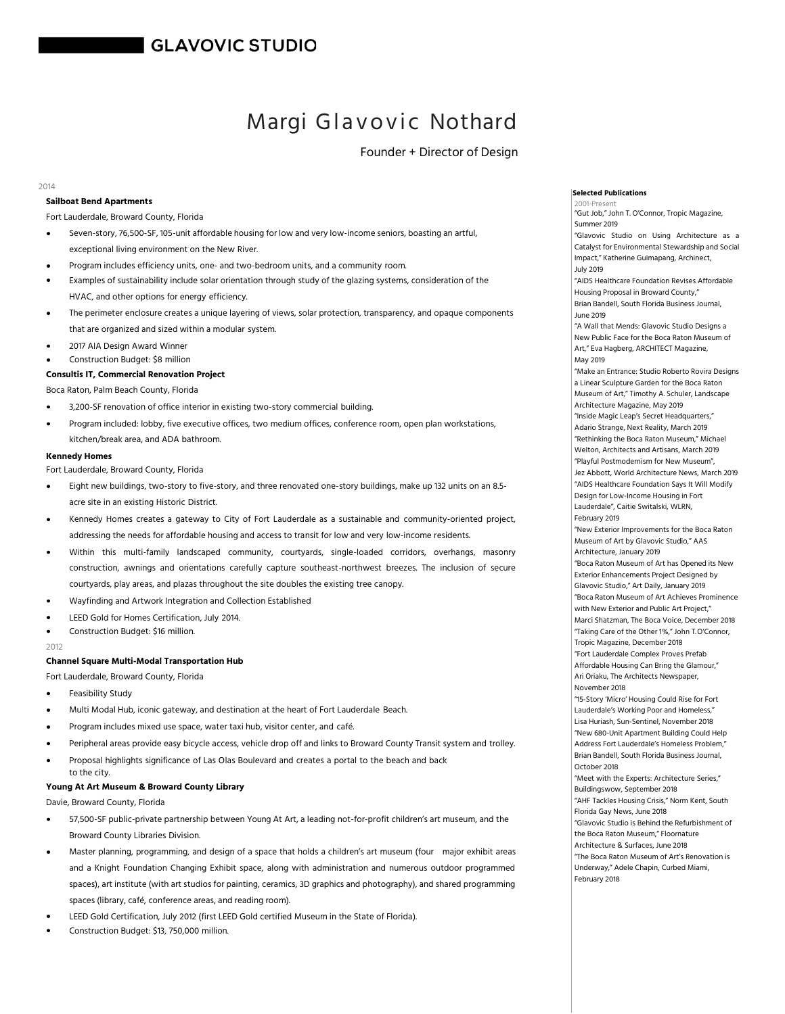

## Founder + Director of Design

### 2014

## **Sailboat Bend Apartments**

Fort Lauderdale, Broward County, Florida

- Seven-story, 76,500-SF, 105-unit affordable housing for low and very low-income seniors, boasting an artful, exceptional living environment on the New River.
- Program includes efficiency units, one- and two-bedroom units, and a community room.
- Examples of sustainability include solar orientation through study of the glazing systems, consideration of the HVAC, and other options for energy efficiency.
- The perimeter enclosure creates a unique layering of views, solar protection, transparency, and opaque components that are organized and sized within a modular system.
- 2017 AIA Design Award Winner
- Construction Budget: \$8 million

## **Consultis IT, Commercial Renovation Project**

Boca Raton, Palm Beach County, Florida

- 3,200-SF renovation of office interior in existing two-story commercial building.
- Program included: lobby, five executive offices, two medium offices, conference room, open plan workstations, kitchen/break area, and ADA bathroom.

## **Kennedy Homes**

Fort Lauderdale, Broward County, Florida

- Eight new buildings, two-story to five-story, and three renovated one-story buildings, make up 132 units on an 8.5 acre site in an existing Historic District.
- Kennedy Homes creates a gateway to City of Fort Lauderdale as a sustainable and community-oriented project, addressing the needs for affordable housing and access to transit for low and very low-income residents.
- Within this multi-family landscaped community, courtyards, single-loaded corridors, overhangs, masonry construction, awnings and orientations carefully capture southeast-northwest breezes. The inclusion of secure courtyards, play areas, and plazas throughout the site doubles the existing tree canopy.
- Wayfinding and Artwork Integration and Collection Established
- LEED Gold for Homes Certification, July 2014.
- Construction Budget: \$16 million.

### 2012

## **Channel Square Multi-Modal Transportation Hub**

Fort Lauderdale, Broward County, Florida

- Feasibility Study
- Multi Modal Hub, iconic gateway, and destination at the heart of Fort Lauderdale Beach.
- Program includes mixed use space, water taxi hub, visitor center, and café.
- Peripheral areas provide easy bicycle access, vehicle drop off and links to Broward County Transit system and trolley.
- Proposal highlights significance of Las Olas Boulevard and creates a portal to the beach and back to the city.

## **Young At Art Museum & Broward County Library**

Davie, Broward County, Florida

- 57,500-SF public-private partnership between Young At Art, a leading not-for-profit children's art museum, and the Broward County Libraries Division.
- Master planning, programming, and design of a space that holds a children's art museum (four major exhibit areas and a Knight Foundation Changing Exhibit space, along with administration and numerous outdoor programmed spaces), art institute (with art studios for painting, ceramics, 3D graphics and photography), and shared programming spaces (library, café, conference areas, and reading room).
- LEED Gold Certification, July 2012 (first LEED Gold certified Museum in the State of Florida).
- Construction Budget: \$13, 750,000 million.

#### **Selected Publications** 2001-Pres

"Gut Job," John T. O'Connor, Tropic Magazine, Summer 2019 "Glavovic Studio on Using Architecture as a Catalyst for Environmental Stewardship and Social Impact," Katherine Guimapang, Archinect, July 2019 "AIDS Healthcare Foundation Revises Affordable Housing Proposal in Broward County," Brian Bandell, South Florida Business Journal, June 2019 "A Wall that Mends: Glavovic Studio Designs a New Public Face for the Boca Raton Museum of Art," Eva Hagberg, ARCHITECT Magazine, May 2019 "Make an Entrance: Studio Roberto Rovira Designs a Linear Sculpture Garden for the Boca Raton Museum of Art," Timothy A. Schuler, Landscape Architecture Magazine, May 2019 "Inside Magic Leap's Secret Headquarters," Adario Strange, Next Reality, March 2019 "Rethinking the Boca Raton Museum," Michael Welton, Architects and Artisans, March 2019 "Playful Postmodernism for New Museum", Jez Abbott, World Architecture News, March 2019 "AIDS Healthcare Foundation Says It Will Modify Design for Low-Income Housing in Fort Lauderdale", Caitie Switalski, WLRN, February 2019 "New Exterior Improvements for the Boca Raton Museum of Art by Glavovic Studio," AAS Architecture, January 2019 "Boca Raton Museum of Art has Opened its New Exterior Enhancements Project Designed by Glavovic Studio," Art Daily, January 2019 "Boca Raton Museum of Art Achieves Prominence with New Exterior and Public Art Project," Marci Shatzman, The Boca Voice, December 2018 "Taking Care of the Other 1%," John T. O'Connor, Tropic Magazine, December 2018 "Fort Lauderdale Complex Proves Prefab Affordable Housing Can Bring the Glamour," Ari Oriaku, The Architects Newspaper, November 2018 "15-Story 'Micro' Housing Could Rise for Fort Lauderdale's Working Poor and Homeless," Lisa Huriash, Sun-Sentinel, November 2018 "New 680-Unit Apartment Building Could Help Address Fort Lauderdale's Homeless Problem," Brian Bandell, South Florida Business Journal, October 2018 "Meet with the Experts: Architecture Series," Buildingswow, September 2018 "AHF Tackles Housing Crisis," Norm Kent, South Florida Gay News, June 2018 "Glavovic Studio is Behind the Refurbishment of the Boca Raton Museum," Floornature Architecture & Surfaces, June 2018 "The Boca Raton Museum of Art's Renovation is Underway," Adele Chapin, Curbed Miami, February 2018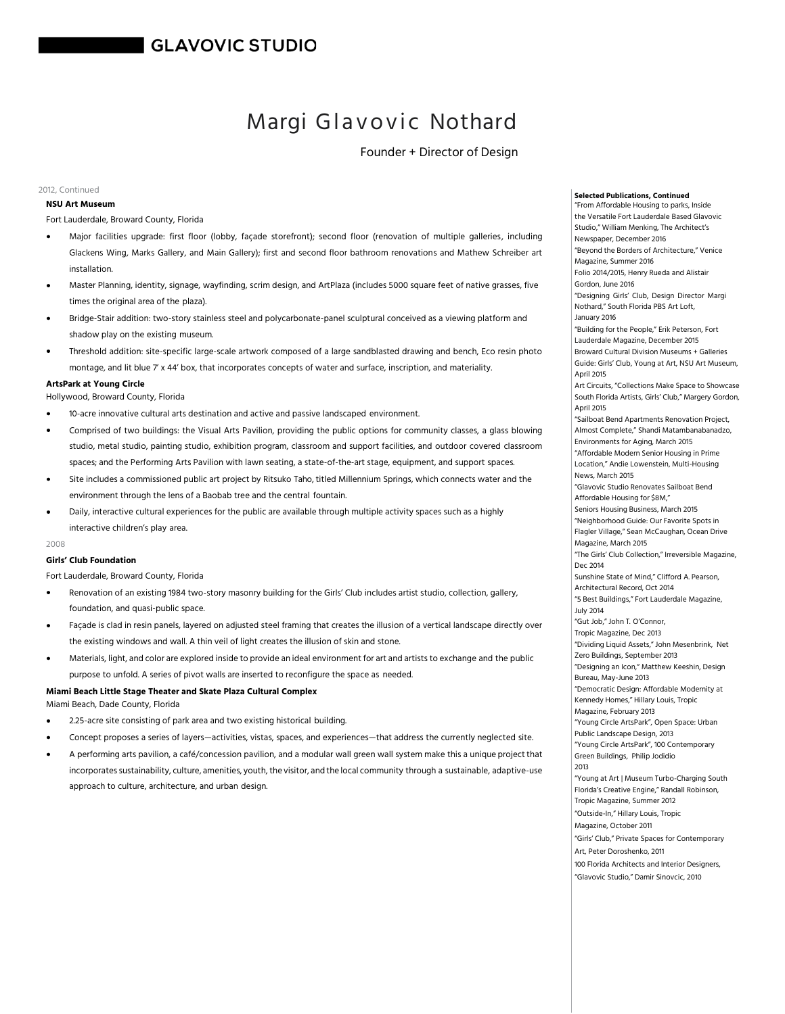

Founder + Director of Design

## 2012, Continued

**NSU Art Museum**

Fort Lauderdale, Broward County, Florida

- Major facilities upgrade: first floor (lobby, façade storefront); second floor (renovation of multiple galleries, including Glackens Wing, Marks Gallery, and Main Gallery); first and second floor bathroom renovations and Mathew Schreiber art installation.
- Master Planning, identity, signage, wayfinding, scrim design, and ArtPlaza (includes 5000 square feet of native grasses, five times the original area of the plaza).
- Bridge-Stair addition: two-story stainless steel and polycarbonate-panel sculptural conceived as a viewing platform and shadow play on the existing museum.
- Threshold addition: site-specific large-scale artwork composed of a large sandblasted drawing and bench, Eco resin photo montage, and lit blue 7' x 44' box, that incorporates concepts of water and surface, inscription, and materiality.

### **ArtsPark at Young Circle**

Hollywood, Broward County, Florida

- 10-acre innovative cultural arts destination and active and passive landscaped environment.
- Comprised of two buildings: the Visual Arts Pavilion, providing the public options for community classes, a glass blowing studio, metal studio, painting studio, exhibition program, classroom and support facilities, and outdoor covered classroom spaces; and the Performing Arts Pavilion with lawn seating, a state-of-the-art stage, equipment, and support spaces.
- Site includes a commissioned public art project by Ritsuko Taho, titled Millennium Springs, which connects water and the environment through the lens of a Baobab tree and the central fountain.
- Daily, interactive cultural experiences for the public are available through multiple activity spaces such as a highly interactive children's play area.

### 2008

### **Girls' Club Foundation**

Fort Lauderdale, Broward County, Florida

- Renovation of an existing 1984 two-story masonry building for the Girls' Club includes artist studio, collection, gallery, foundation, and quasi-public space.
- Façade is clad in resin panels, layered on adjusted steel framing that creates the illusion of a vertical landscape directly over the existing windows and wall. A thin veil of light creates the illusion of skin and stone.
- Materials, light, and color are explored inside to provide an ideal environment for art and artists to exchange and the public purpose to unfold. A series of pivot walls are inserted to reconfigure the space as needed.

## **Miami Beach Little Stage Theater and Skate Plaza Cultural Complex**

Miami Beach, Dade County, Florida

- 2.25-acre site consisting of park area and two existing historical building.
- Concept proposes a series of layers—activities, vistas, spaces, and experiences—that address the currently neglected site.
- A performing arts pavilion, a café/concession pavilion, and a modular wall green wall system make this a unique projectthat incorporates sustainability, culture, amenities, youth, the visitor, and the local community through a sustainable, adaptive-use approach to culture, architecture, and urban design.

**Selected Publications, Continued** "From Affordable Housing to parks, Inside the Versatile Fort Lauderdale Based Glavovic Studio," William Menking, The Architect's Newspaper, December 2016 "Beyond the Borders of Architecture," Venice Magazine, Summer 2016 Folio 2014/2015, Henry Rueda and Alistair Gordon, June 2016 "Designing Girls' Club, Design Director Margi Nothard," South Florida PBS Art Loft, January 2016 "Building for the People," Erik Peterson, Fort Lauderdale Magazine, December 2015 Broward Cultural Division Museums + Galleries Guide: Girls' Club, Young at Art, NSU Art Museum, April 2015 Art Circuits, "Collections Make Space to Showcase South Florida Artists, Girls' Club," Margery Gordon, April 2015 "Sailboat Bend Apartments Renovation Project, Almost Complete," Shandi Matambanabanadzo, Environments for Aging, March 2015 "Affordable Modern Senior Housing in Prime Location," Andie Lowenstein, Multi-Housing News, March 2015 "Glavovic Studio Renovates Sailboat Bend Affordable Housing for \$8M," Seniors Housing Business, March 2015 "Neighborhood Guide: Our Favorite Spots in Flagler Village," Sean McCaughan, Ocean Drive Magazine, March 2015 "The Girls' Club Collection," Irreversible Magazine, Dec 2014 Sunshine State of Mind," Clifford A. Pearson, Architectural Record, Oct 2014 "5 Best Buildings," Fort Lauderdale Magazine, July 2014 "Gut Job," John T. O'Connor, Tropic Magazine, Dec 2013 "Dividing Liquid Assets," John Mesenbrink, Net Zero Buildings, September 2013 "Designing an Icon," Matthew Keeshin, Design Bureau, May-June 2013 "Democratic Design: Affordable Modernity at Kennedy Homes," Hillary Louis, Tropic Magazine, February 2013 "Young Circle ArtsPark", Open Space: Urban Public Landscape Design, 2013 "Young Circle ArtsPark", 100 Contemporary Green Buildings, Philip Jodidio 2013 "Young at Art | Museum Turbo-Charging South Florida's Creative Engine," Randall Robinson, Tropic Magazine, Summer 2012 "Outside-In," Hillary Louis, Tropic Magazine, October 2011 "Girls' Club," Private Spaces for Contemporary Art, Peter Doroshenko, 2011 100 Florida Architects and Interior Designers, "Glavovic Studio," Damir Sinovcic, 2010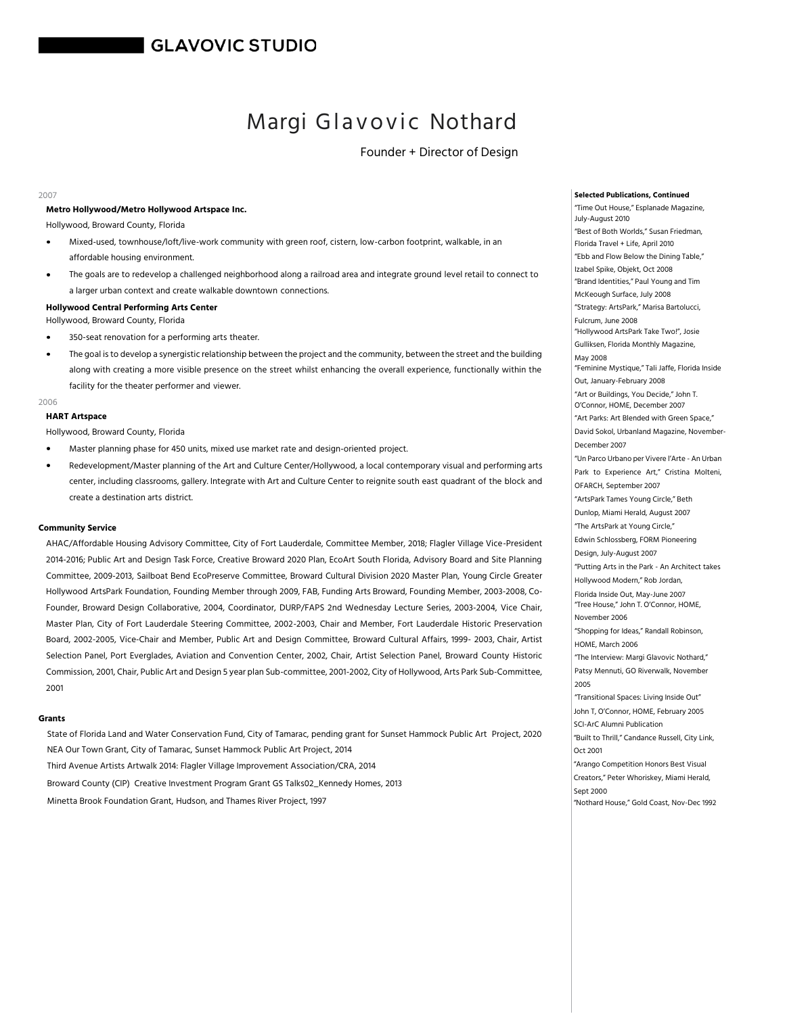## Margi Glavovic Nothard

## Founder + Director of Design

#### 2007

## **Metro Hollywood/Metro Hollywood Artspace Inc.**

Hollywood, Broward County, Florida

- Mixed-used, townhouse/loft/live-work community with green roof, cistern, low-carbon footprint, walkable, in an affordable housing environment.
- The goals are to redevelop a challenged neighborhood along a railroad area and integrate ground level retail to connect to a larger urban context and create walkable downtown connections.

## **Hollywood Central Performing Arts Center**

Hollywood, Broward County, Florida

- 350-seat renovation for a performing arts theater.
- The goal is to develop a synergistic relationship between the project and the community, between the street and the building along with creating a more visible presence on the street whilst enhancing the overall experience, functionally within the facility for the theater performer and viewer.

## 2006

**HART Artspace**

Hollywood, Broward County, Florida

- Master planning phase for 450 units, mixed use market rate and design-oriented project.
- Redevelopment/Master planning of the Art and Culture Center/Hollywood, a local contemporary visual and performing arts center, including classrooms, gallery. Integrate with Art and Culture Center to reignite south east quadrant of the block and create a destination arts district.

## **Community Service**

AHAC/Affordable Housing Advisory Committee, City of Fort Lauderdale, Committee Member, 2018; Flagler Village Vice-President 2014-2016; Public Art and Design Task Force, Creative Broward 2020 Plan, EcoArt South Florida, Advisory Board and Site Planning Committee, 2009-2013, Sailboat Bend EcoPreserve Committee, Broward Cultural Division 2020 Master Plan, Young Circle Greater Hollywood ArtsPark Foundation, Founding Member through 2009, FAB, Funding Arts Broward, Founding Member, 2003-2008, Co-Founder, Broward Design Collaborative, 2004, Coordinator, DURP/FAPS 2nd Wednesday Lecture Series, 2003-2004, Vice Chair, Master Plan, City of Fort Lauderdale Steering Committee, 2002-2003, Chair and Member, Fort Lauderdale Historic Preservation Board, 2002-2005, Vice-Chair and Member, Public Art and Design Committee, Broward Cultural Affairs, 1999- 2003, Chair, Artist Selection Panel, Port Everglades, Aviation and Convention Center, 2002, Chair, Artist Selection Panel, Broward County Historic Commission, 2001, Chair, Public Art and Design 5 year plan Sub-committee, 2001-2002, City of Hollywood, Arts Park Sub-Committee, 2001

#### **Grants**

State of Florida Land and Water Conservation Fund, City of Tamarac, pending grant for Sunset Hammock Public Art Project, 2020 NEA Our Town Grant, City of Tamarac, Sunset Hammock Public Art Project, 2014 Third Avenue Artists Artwalk 2014: Flagler Village Improvement Association/CRA, 2014 Broward County (CIP) Creative Investment Program Grant GS Talks02\_Kennedy Homes, 2013 Minetta Brook Foundation Grant, Hudson, and Thames River Project, 1997

#### **Selected Publications, Continued**

"Time Out House," Esplanade Magazine, July-August 2010 "Best of Both Worlds," Susan Friedman, Florida Travel + Life, April 2010 "Ebb and Flow Below the Dining Table," Izabel Spike, Objekt, Oct 2008 "Brand Identities," Paul Young and Tim McKeough Surface, July 2008 "Strategy: ArtsPark," Marisa Bartolucci, Fulcrum, June 2008 "Hollywood ArtsPark Take Two!", Josie Gulliksen, Florida Monthly Magazine, May 2008 "Feminine Mystique," Tali Jaffe, Florida Inside Out, January-February 2008 "Art or Buildings, You Decide," John T. O'Connor, HOME, December 2007 "Art Parks: Art Blended with Green Space," David Sokol, Urbanland Magazine, November-December 2007 "Un Parco Urbano per Vivere l'Arte - An Urban Park to Experience Art," Cristina Molteni, OFARCH, September 2007 "ArtsPark Tames Young Circle," Beth Dunlop, Miami Herald, August 2007 "The ArtsPark at Young Circle," Edwin Schlossberg, FORM Pioneering Design, July-August 2007 "Putting Arts in the Park - An Architect takes Hollywood Modern," Rob Jordan, Florida Inside Out, May-June 2007 "Tree House," John T. O'Connor, HOME, November 2006 "Shopping for Ideas," Randall Robinson, HOME, March 2006 "The Interview: Margi Glavovic Nothard," Patsy Mennuti, GO Riverwalk, November 2005 "Transitional Spaces: Living Inside Out" John T, O'Connor, HOME, February 2005 SCI-ArC Alumni Publication "Built to Thrill," Candance Russell, City Link, Oct 2001 "Arango Competition Honors Best Visual Creators," Peter Whoriskey, Miami Herald, Sept 2000 "Nothard House," Gold Coast, Nov-Dec 1992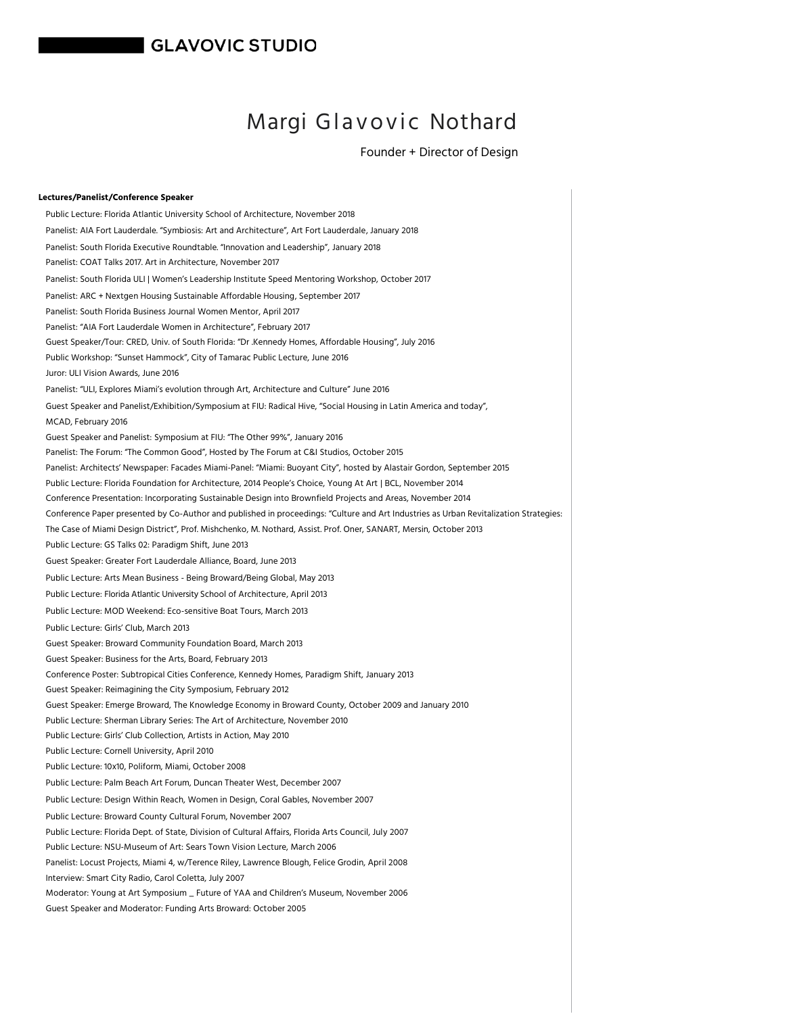## Margi Glavovic Nothard

## Founder + Director of Design

**Lectures/Panelist/Conference Speaker** Public Lecture: Florida Atlantic University School of Architecture, November 2018 Panelist: AIA Fort Lauderdale. "Symbiosis: Art and Architecture", Art Fort Lauderdale, January 2018 Panelist: South Florida Executive Roundtable. "Innovation and Leadership", January 2018 Panelist: COAT Talks 2017. Art in Architecture, November 2017 Panelist: South Florida ULI | Women's Leadership Institute Speed Mentoring Workshop, October 2017 Panelist: ARC + Nextgen Housing Sustainable Affordable Housing, September 2017 Panelist: South Florida Business Journal Women Mentor, April 2017 Panelist: "AIA Fort Lauderdale Women in Architecture", February 2017 Guest Speaker/Tour: CRED, Univ. of South Florida: "Dr .Kennedy Homes, Affordable Housing", July 2016 Public Workshop: "Sunset Hammock", City of Tamarac Public Lecture, June 2016 Juror: ULI Vision Awards, June 2016 Panelist: "ULI, Explores Miami's evolution through Art, Architecture and Culture" June 2016 Guest Speaker and Panelist/Exhibition/Symposium at FIU: Radical Hive, "Social Housing in Latin America and today", MCAD, February 2016 Guest Speaker and Panelist: Symposium at FIU: "The Other 99%", January 2016 Panelist: The Forum: "The Common Good", Hosted by The Forum at C&I Studios, October 2015 Panelist: Architects' Newspaper: Facades Miami-Panel: "Miami: Buoyant City", hosted by Alastair Gordon, September 2015 Public Lecture: Florida Foundation for Architecture, 2014 People's Choice, Young At Art | BCL, November 2014 Conference Presentation: Incorporating Sustainable Design into Brownfield Projects and Areas, November 2014 Conference Paper presented by Co-Author and published in proceedings: "Culture and Art Industries as Urban Revitalization Strategies: The Case of Miami Design District", Prof. Mishchenko, M. Nothard, Assist. Prof. Oner, SANART, Mersin, October 2013 Public Lecture: GS Talks 02: Paradigm Shift, June 2013 Guest Speaker: Greater Fort Lauderdale Alliance, Board, June 2013 Public Lecture: Arts Mean Business - Being Broward/Being Global, May 2013 Public Lecture: Florida Atlantic University School of Architecture, April 2013 Public Lecture: MOD Weekend: Eco-sensitive Boat Tours, March 2013 Public Lecture: Girls' Club, March 2013 Guest Speaker: Broward Community Foundation Board, March 2013 Guest Speaker: Business for the Arts, Board, February 2013 Conference Poster: Subtropical Cities Conference, Kennedy Homes, Paradigm Shift, January 2013 Guest Speaker: Reimagining the City Symposium, February 2012 Guest Speaker: Emerge Broward, The Knowledge Economy in Broward County, October 2009 and January 2010 Public Lecture: Sherman Library Series: The Art of Architecture, November 2010 Public Lecture: Girls' Club Collection, Artists in Action, May 2010 Public Lecture: Cornell University, April 2010 Public Lecture: 10x10, Poliform, Miami, October 2008 Public Lecture: Palm Beach Art Forum, Duncan Theater West, December 2007 Public Lecture: Design Within Reach, Women in Design, Coral Gables, November 2007 Public Lecture: Broward County Cultural Forum, November 2007 Public Lecture: Florida Dept. of State, Division of Cultural Affairs, Florida Arts Council, July 2007 Public Lecture: NSU-Museum of Art: Sears Town Vision Lecture, March 2006 Panelist: Locust Projects, Miami 4, w/Terence Riley, Lawrence Blough, Felice Grodin, April 2008 Interview: Smart City Radio, Carol Coletta, July 2007 Moderator: Young at Art Symposium \_ Future of YAA and Children's Museum, November 2006 Guest Speaker and Moderator: Funding Arts Broward: October 2005